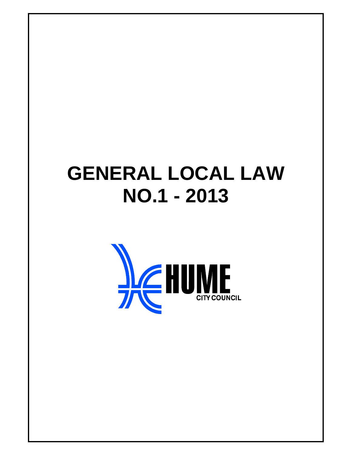# **GENERAL LOCAL LAW NO.1 - 2013**

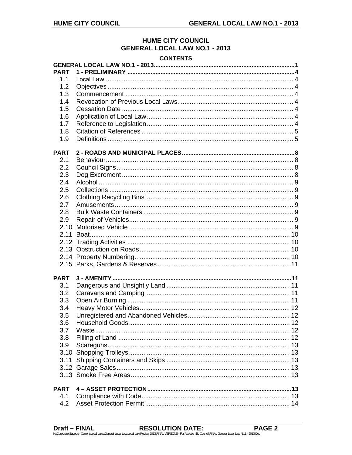## **HUME CITY COUNCIL GENERAL LOCAL LAW NO.1 - 2013**

## **CONTENTS**

| <b>PART</b> |             |  |  |  |  |
|-------------|-------------|--|--|--|--|
| 1.1         |             |  |  |  |  |
| 1.2         |             |  |  |  |  |
| 1.3         |             |  |  |  |  |
| 1.4         |             |  |  |  |  |
| 1.5         |             |  |  |  |  |
| 1.6         |             |  |  |  |  |
| 1.7<br>1.8  |             |  |  |  |  |
| 1.9         |             |  |  |  |  |
|             |             |  |  |  |  |
| <b>PART</b> |             |  |  |  |  |
| 2.1         |             |  |  |  |  |
| 2.2         |             |  |  |  |  |
| 2.3         |             |  |  |  |  |
| 2.4         |             |  |  |  |  |
| 2.5         |             |  |  |  |  |
| 2.6         |             |  |  |  |  |
| 2.7         |             |  |  |  |  |
| 2.8         |             |  |  |  |  |
| 2.9         |             |  |  |  |  |
| 2.10        |             |  |  |  |  |
| 2.11        |             |  |  |  |  |
|             |             |  |  |  |  |
|             |             |  |  |  |  |
|             |             |  |  |  |  |
|             |             |  |  |  |  |
| <b>PART</b> | 3 - AMENITY |  |  |  |  |
| 3.1         |             |  |  |  |  |
| 3.2         |             |  |  |  |  |
| 3.3         |             |  |  |  |  |
| 3.4         |             |  |  |  |  |
| 3.5         |             |  |  |  |  |
| 3.6         |             |  |  |  |  |
| 3.7         |             |  |  |  |  |
| 3.8         |             |  |  |  |  |
| 3.9         |             |  |  |  |  |
|             |             |  |  |  |  |
|             |             |  |  |  |  |
|             |             |  |  |  |  |
|             |             |  |  |  |  |
|             |             |  |  |  |  |
| <b>PART</b> |             |  |  |  |  |
| 4.1         |             |  |  |  |  |
| 4.2         |             |  |  |  |  |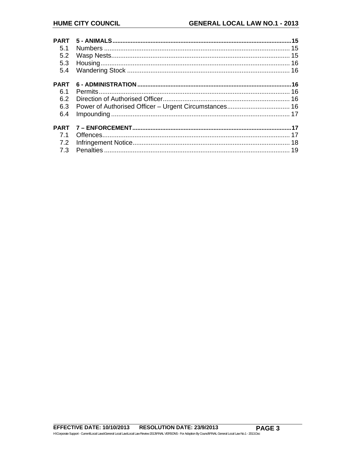| 5.1         |  |
|-------------|--|
| 5.2         |  |
| 5.3         |  |
| 5.4         |  |
| <b>PART</b> |  |
| 6.1         |  |
| 6.2         |  |
| 6.3         |  |
| 6.4         |  |
|             |  |
| 7.1         |  |
| 7.2         |  |
| 7.3         |  |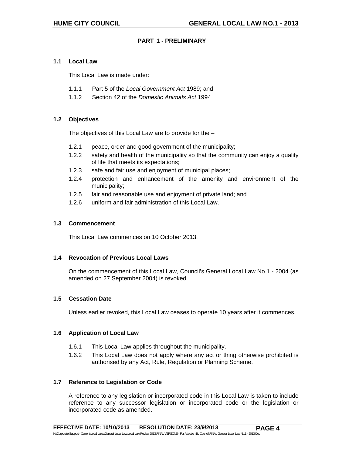#### **PART 1 - PRELIMINARY**

#### **1.1 Local Law**

This Local Law is made under:

- 1.1.1 Part 5 of the *Local Government Act* 1989; and
- 1.1.2 Section 42 of the *Domestic Animals Act* 1994

#### **1.2 Objectives**

The objectives of this Local Law are to provide for the –

- 1.2.1 peace, order and good government of the municipality;
- 1.2.2 safety and health of the municipality so that the community can enjoy a quality of life that meets its expectations;
- 1.2.3 safe and fair use and enjoyment of municipal places;
- 1.2.4 protection and enhancement of the amenity and environment of the municipality;
- 1.2.5 fair and reasonable use and enjoyment of private land; and
- 1.2.6 uniform and fair administration of this Local Law.

#### **1.3 Commencement**

This Local Law commences on 10 October 2013.

#### **1.4 Revocation of Previous Local Laws**

On the commencement of this Local Law, Council's General Local Law No.1 - 2004 (as amended on 27 September 2004) is revoked.

#### **1.5 Cessation Date**

Unless earlier revoked, this Local Law ceases to operate 10 years after it commences.

#### **1.6 Application of Local Law**

- 1.6.1 This Local Law applies throughout the municipality.
- 1.6.2 This Local Law does not apply where any act or thing otherwise prohibited is authorised by any Act, Rule, Regulation or Planning Scheme.

#### **1.7 Reference to Legislation or Code**

A reference to any legislation or incorporated code in this Local Law is taken to include reference to any successor legislation or incorporated code or the legislation or incorporated code as amended.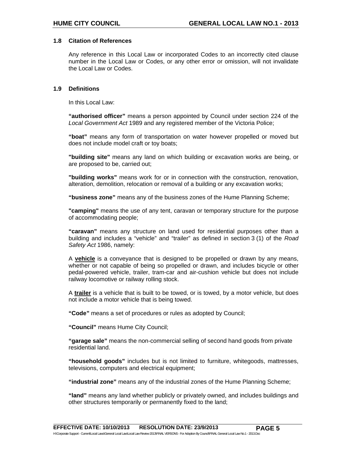#### **1.8 Citation of References**

Any reference in this Local Law or incorporated Codes to an incorrectly cited clause number in the Local Law or Codes, or any other error or omission, will not invalidate the Local Law or Codes.

#### **1.9 Definitions**

In this Local Law:

**"authorised officer"** means a person appointed by Council under section 224 of the *Local Government Act* 1989 and any registered member of the Victoria Police;

**"boat"** means any form of transportation on water however propelled or moved but does not include model craft or toy boats;

**"building site"** means any land on which building or excavation works are being, or are proposed to be, carried out;

**"building works"** means work for or in connection with the construction, renovation, alteration, demolition, relocation or removal of a building or any excavation works;

**"business zone"** means any of the business zones of the Hume Planning Scheme;

**"camping"** means the use of any tent, caravan or temporary structure for the purpose of accommodating people;

**"caravan"** means any structure on land used for residential purposes other than a building and includes a "vehicle" and "trailer" as defined in section 3 (1) of the *Road Safety Act* 1986, namely:

A **vehicle** is a conveyance that is designed to be propelled or drawn by any means, whether or not capable of being so propelled or drawn, and includes bicycle or other pedal-powered vehicle, trailer, tram-car and air-cushion vehicle but does not include railway locomotive or railway rolling stock.

A **trailer** is a vehicle that is built to be towed, or is towed, by a motor vehicle, but does not include a motor vehicle that is being towed.

**"Code"** means a set of procedures or rules as adopted by Council;

**"Council"** means Hume City Council;

**"garage sale"** means the non-commercial selling of second hand goods from private residential land.

**"household goods"** includes but is not limited to furniture, whitegoods, mattresses, televisions, computers and electrical equipment;

**"industrial zone"** means any of the industrial zones of the Hume Planning Scheme;

**"land"** means any land whether publicly or privately owned, and includes buildings and other structures temporarily or permanently fixed to the land;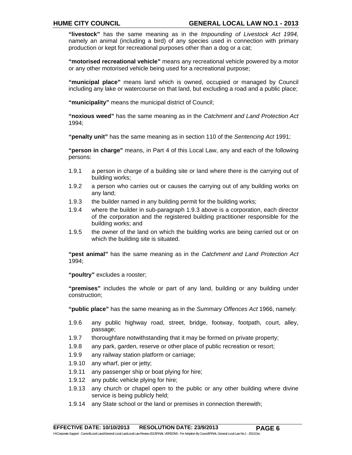**"livestock"** has the same meaning as in the *Impounding of Livestock Act 1994,*  namely an animal (including a bird) of any species used in connection with primary production or kept for recreational purposes other than a dog or a cat;

**"motorised recreational vehicle"** means any recreational vehicle powered by a motor or any other motorised vehicle being used for a recreational purpose;

**"municipal place"** means land which is owned, occupied or managed by Council including any lake or watercourse on that land, but excluding a road and a public place;

**"municipality"** means the municipal district of Council;

**"noxious weed"** has the same meaning as in the *Catchment and Land Protection Act* 1994;

**"penalty unit"** has the same meaning as in section 110 of the *Sentencing Act* 1991;

**"person in charge"** means, in Part 4 of this Local Law, any and each of the following persons:

- 1.9.1 a person in charge of a building site or land where there is the carrying out of building works;
- 1.9.2 a person who carries out or causes the carrying out of any building works on any land;
- 1.9.3 the builder named in any building permit for the building works;
- 1.9.4 where the builder in sub-paragraph 1.9.3 above is a corporation, each director of the corporation and the registered building practitioner responsible for the building works; and
- 1.9.5 the owner of the land on which the building works are being carried out or on which the building site is situated.

**"pest animal"** has the same meaning as in the *Catchment and Land Protection Act* 1994;

**"poultry"** excludes a rooster;

**"premises"** includes the whole or part of any land, building or any building under construction;

**"public place"** has the same meaning as in the *Summary Offences Act* 1966, namely:

- 1.9.6 any public highway road, street, bridge, footway, footpath, court, alley, passage;
- 1.9.7 thoroughfare notwithstanding that it may be formed on private property;
- 1.9.8 any park, garden, reserve or other place of public recreation or resort;
- 1.9.9 any railway station platform or carriage;
- 1.9.10 any wharf, pier or jetty;
- 1.9.11 any passenger ship or boat plying for hire;
- 1.9.12 any public vehicle plying for hire;
- 1.9.13 any church or chapel open to the public or any other building where divine service is being publicly held;
- 1.9.14 any State school or the land or premises in connection therewith;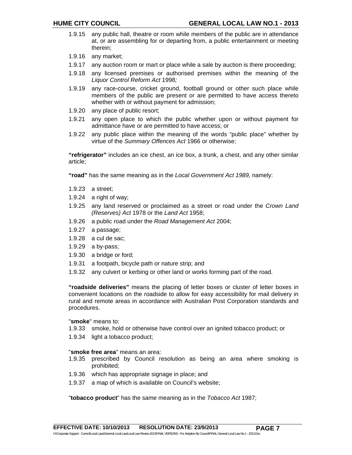- 1.9.15 any public hall, theatre or room while members of the public are in attendance at, or are assembling for or departing from, a public entertainment or meeting therein;
- 1.9.16 any market;
- 1.9.17 any auction room or mart or place while a sale by auction is there proceeding;
- 1.9.18 any licensed premises or authorised premises within the meaning of the *Liquor Control Reform Act* 1998*;*
- 1.9.19 any race-course, cricket ground, football ground or other such place while members of the public are present or are permitted to have access thereto whether with or without payment for admission;
- 1.9.20 any place of public resort;
- 1.9.21 any open place to which the public whether upon or without payment for admittance have or are permitted to have access; or
- 1.9.22 any public place within the meaning of the words "public place" whether by virtue of the *Summary Offences Act* 1966 or otherwise;

**"refrigerator"** includes an ice chest, an ice box, a trunk, a chest, and any other similar article;

**"road"** has the same meaning as in the *Local Government Act 1989,* namely:

- 1.9.23 a street;
- 1.9.24 a right of way;
- 1.9.25 any land reserved or proclaimed as a street or road under the *Crown Land (Reserves) Act* 1978 or the *Land Act* 1958;
- 1.9.26 a public road under the *Road Management Act* 2004;
- 1.9.27 a passage;
- 1.9.28 a cul de sac;
- 1.9.29 a by-pass;
- 1.9.30 a bridge or ford;
- 1.9.31 a footpath, bicycle path or nature strip; and
- 1.9.32 any culvert or kerbing or other land or works forming part of the road.

**"roadside deliveries"** means the placing of letter boxes or cluster of letter boxes in convenient locations on the roadside to allow for easy accessibility for mail delivery in rural and remote areas in accordance with Australian Post Corporation standards and procedures.

#### "**smoke**" means to:

- 1.9.33 smoke, hold or otherwise have control over an ignited tobacco product; or
- 1.9.34 light a tobacco product;

#### "**smoke free area**" means an area:

- 1.9.35 prescribed by Council resolution as being an area where smoking is prohibited;
- 1.9.36 which has appropriate signage in place; and
- 1.9.37 a map of which is available on Council's website;

"**tobacco product**" has the same meaning as in the *Tobacco Act* 1987;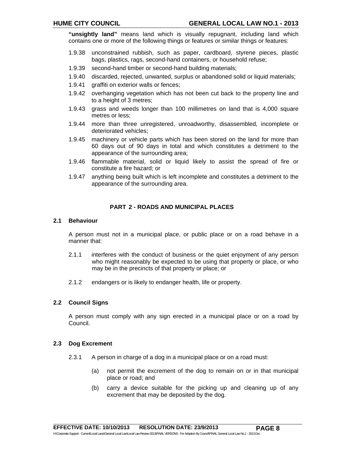**"unsightly land"** means land which is visually repugnant, including land which contains one or more of the following things or features or similar things or features:

- 1.9.38 unconstrained rubbish, such as paper, cardboard, styrene pieces, plastic bags, plastics, rags, second-hand containers, or household refuse;
- 1.9.39 second-hand timber or second-hand building materials;
- 1.9.40 discarded, rejected, unwanted, surplus or abandoned solid or liquid materials;
- 1.9.41 graffiti on exterior walls or fences;
- 1.9.42 overhanging vegetation which has not been cut back to the property line and to a height of 3 metres;
- 1.9.43 grass and weeds longer than 100 millimetres on land that is 4,000 square metres or less;
- 1.9.44 more than three unregistered, unroadworthy, disassembled, incomplete or deteriorated vehicles;
- 1.9.45 machinery or vehicle parts which has been stored on the land for more than 60 days out of 90 days in total and which constitutes a detriment to the appearance of the surrounding area;
- 1.9.46 flammable material, solid or liquid likely to assist the spread of fire or constitute a fire hazard; or
- 1.9.47 anything being built which is left incomplete and constitutes a detriment to the appearance of the surrounding area.

#### **PART 2 - ROADS AND MUNICIPAL PLACES**

#### **2.1 Behaviour**

A person must not in a municipal place, or public place or on a road behave in a manner that:

- 2.1.1 interferes with the conduct of business or the quiet enjoyment of any person who might reasonably be expected to be using that property or place, or who may be in the precincts of that property or place; or
- 2.1.2 endangers or is likely to endanger health, life or property.

## **2.2 Council Signs**

A person must comply with any sign erected in a municipal place or on a road by Council.

#### **2.3 Dog Excrement**

- 2.3.1 A person in charge of a dog in a municipal place or on a road must:
	- (a) not permit the excrement of the dog to remain on or in that municipal place or road; and
	- (b) carry a device suitable for the picking up and cleaning up of any excrement that may be deposited by the dog.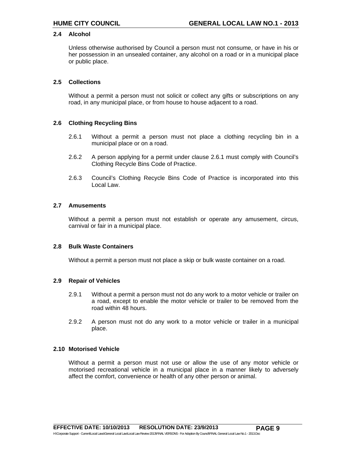#### **2.4 Alcohol**

Unless otherwise authorised by Council a person must not consume, or have in his or her possession in an unsealed container, any alcohol on a road or in a municipal place or public place.

#### **2.5 Collections**

Without a permit a person must not solicit or collect any gifts or subscriptions on any road, in any municipal place, or from house to house adjacent to a road.

#### **2.6 Clothing Recycling Bins**

- 2.6.1 Without a permit a person must not place a clothing recycling bin in a municipal place or on a road.
- 2.6.2 A person applying for a permit under clause 2.6.1 must comply with Council's Clothing Recycle Bins Code of Practice.
- 2.6.3 Council's Clothing Recycle Bins Code of Practice is incorporated into this Local Law.

#### **2.7 Amusements**

Without a permit a person must not establish or operate any amusement, circus, carnival or fair in a municipal place.

#### **2.8 Bulk Waste Containers**

Without a permit a person must not place a skip or bulk waste container on a road.

#### **2.9 Repair of Vehicles**

- 2.9.1 Without a permit a person must not do any work to a motor vehicle or trailer on a road, except to enable the motor vehicle or trailer to be removed from the road within 48 hours.
- 2.9.2 A person must not do any work to a motor vehicle or trailer in a municipal place.

#### **2.10 Motorised Vehicle**

Without a permit a person must not use or allow the use of any motor vehicle or motorised recreational vehicle in a municipal place in a manner likely to adversely affect the comfort, convenience or health of any other person or animal.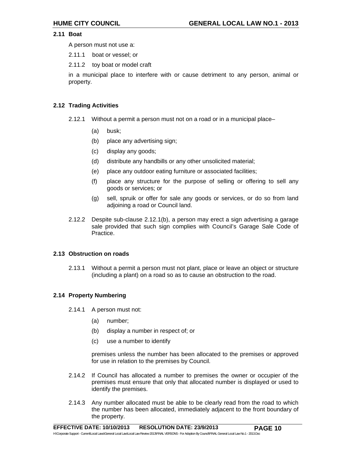#### **2.11 Boat**

A person must not use a:

2.11.1 boat or vessel; or

2.11.2 toy boat or model craft

in a municipal place to interfere with or cause detriment to any person, animal or property.

#### **2.12 Trading Activities**

2.12.1 Without a permit a person must not on a road or in a municipal place–

- (a) busk;
- (b) place any advertising sign;
- (c) display any goods;
- (d) distribute any handbills or any other unsolicited material;
- (e) place any outdoor eating furniture or associated facilities;
- (f) place any structure for the purpose of selling or offering to sell any goods or services; or
- (g) sell, spruik or offer for sale any goods or services, or do so from land adjoining a road or Council land.
- 2.12.2 Despite sub-clause 2.12.1(b), a person may erect a sign advertising a garage sale provided that such sign complies with Council's Garage Sale Code of Practice.

#### **2.13 Obstruction on roads**

2.13.1 Without a permit a person must not plant, place or leave an object or structure (including a plant) on a road so as to cause an obstruction to the road.

#### **2.14 Property Numbering**

- 2.14.1 A person must not:
	- (a) number;
	- (b) display a number in respect of; or
	- (c) use a number to identify

premises unless the number has been allocated to the premises or approved for use in relation to the premises by Council.

- 2.14.2 If Council has allocated a number to premises the owner or occupier of the premises must ensure that only that allocated number is displayed or used to identify the premises.
- 2.14.3 Any number allocated must be able to be clearly read from the road to which the number has been allocated, immediately adjacent to the front boundary of the property.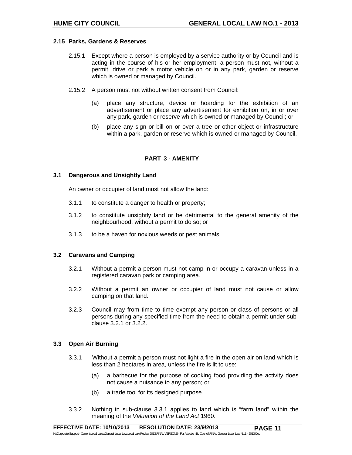#### **2.15 Parks, Gardens & Reserves**

- 2.15.1 Except where a person is employed by a service authority or by Council and is acting in the course of his or her employment, a person must not, without a permit, drive or park a motor vehicle on or in any park, garden or reserve which is owned or managed by Council.
- 2.15.2 A person must not without written consent from Council:
	- (a) place any structure, device or hoarding for the exhibition of an advertisement or place any advertisement for exhibition on, in or over any park, garden or reserve which is owned or managed by Council; or
	- (b) place any sign or bill on or over a tree or other object or infrastructure within a park, garden or reserve which is owned or managed by Council.

#### **PART 3 - AMENITY**

#### **3.1 Dangerous and Unsightly Land**

An owner or occupier of land must not allow the land:

- 3.1.1 to constitute a danger to health or property;
- 3.1.2 to constitute unsightly land or be detrimental to the general amenity of the neighbourhood, without a permit to do so; or
- 3.1.3 to be a haven for noxious weeds or pest animals.

#### **3.2 Caravans and Camping**

- 3.2.1 Without a permit a person must not camp in or occupy a caravan unless in a registered caravan park or camping area.
- 3.2.2 Without a permit an owner or occupier of land must not cause or allow camping on that land.
- 3.2.3 Council may from time to time exempt any person or class of persons or all persons during any specified time from the need to obtain a permit under subclause 3.2.1 or 3.2.2.

#### **3.3 Open Air Burning**

- 3.3.1 Without a permit a person must not light a fire in the open air on land which is less than 2 hectares in area, unless the fire is lit to use:
	- (a) a barbecue for the purpose of cooking food providing the activity does not cause a nuisance to any person; or
	- (b) a trade tool for its designed purpose.
- 3.3.2 Nothing in sub-clause 3.3.1 applies to land which is "farm land" within the meaning of the *Valuation of the Land Act* 1960.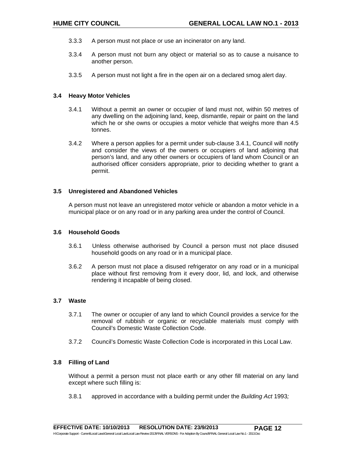- 3.3.3 A person must not place or use an incinerator on any land.
- 3.3.4 A person must not burn any object or material so as to cause a nuisance to another person.
- 3.3.5 A person must not light a fire in the open air on a declared smog alert day.

#### **3.4 Heavy Motor Vehicles**

- 3.4.1 Without a permit an owner or occupier of land must not, within 50 metres of any dwelling on the adjoining land, keep, dismantle, repair or paint on the land which he or she owns or occupies a motor vehicle that weighs more than 4.5 tonnes.
- 3.4.2 Where a person applies for a permit under sub-clause 3.4.1, Council will notify and consider the views of the owners or occupiers of land adjoining that person's land, and any other owners or occupiers of land whom Council or an authorised officer considers appropriate, prior to deciding whether to grant a permit.

#### **3.5 Unregistered and Abandoned Vehicles**

A person must not leave an unregistered motor vehicle or abandon a motor vehicle in a municipal place or on any road or in any parking area under the control of Council.

#### **3.6 Household Goods**

- 3.6.1 Unless otherwise authorised by Council a person must not place disused household goods on any road or in a municipal place.
- 3.6.2 A person must not place a disused refrigerator on any road or in a municipal place without first removing from it every door, lid, and lock, and otherwise rendering it incapable of being closed.

#### **3.7 Waste**

- 3.7.1 The owner or occupier of any land to which Council provides a service for the removal of rubbish or organic or recyclable materials must comply with Council's Domestic Waste Collection Code.
- 3.7.2 Council's Domestic Waste Collection Code is incorporated in this Local Law.

#### **3.8 Filling of Land**

Without a permit a person must not place earth or any other fill material on any land except where such filling is:

3.8.1 approved in accordance with a building permit under the *Building Act* 1993*;*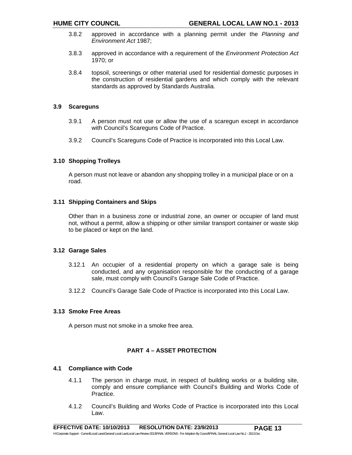- 3.8.2 approved in accordance with a planning permit under the *Planning and Environment Act* 1987;
- 3.8.3 approved in accordance with a requirement of the *Environment Protection Act* 1970; or
- 3.8.4 topsoil, screenings or other material used for residential domestic purposes in the construction of residential gardens and which comply with the relevant standards as approved by Standards Australia.

#### **3.9 Scareguns**

- 3.9.1 A person must not use or allow the use of a scaregun except in accordance with Council's Scareguns Code of Practice.
- 3.9.2 Council's Scareguns Code of Practice is incorporated into this Local Law.

#### **3.10 Shopping Trolleys**

A person must not leave or abandon any shopping trolley in a municipal place or on a road.

#### **3.11 Shipping Containers and Skips**

Other than in a business zone or industrial zone, an owner or occupier of land must not, without a permit, allow a shipping or other similar transport container or waste skip to be placed or kept on the land.

#### **3.12 Garage Sales**

- 3.12.1 An occupier of a residential property on which a garage sale is being conducted, and any organisation responsible for the conducting of a garage sale, must comply with Council's Garage Sale Code of Practice.
- 3.12.2 Council's Garage Sale Code of Practice is incorporated into this Local Law.

#### **3.13 Smoke Free Areas**

A person must not smoke in a smoke free area.

#### **PART 4 – ASSET PROTECTION**

#### **4.1 Compliance with Code**

- 4.1.1 The person in charge must, in respect of building works or a building site, comply and ensure compliance with Council's Building and Works Code of Practice.
- 4.1.2 Council's Building and Works Code of Practice is incorporated into this Local Law.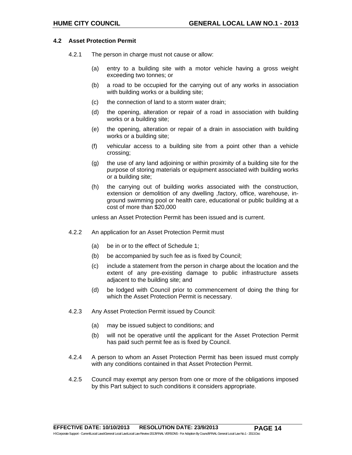#### **4.2 Asset Protection Permit**

- 4.2.1 The person in charge must not cause or allow:
	- (a) entry to a building site with a motor vehicle having a gross weight exceeding two tonnes; or
	- (b) a road to be occupied for the carrying out of any works in association with building works or a building site;
	- (c) the connection of land to a storm water drain;
	- (d) the opening, alteration or repair of a road in association with building works or a building site;
	- (e) the opening, alteration or repair of a drain in association with building works or a building site;
	- (f) vehicular access to a building site from a point other than a vehicle crossing;
	- (g) the use of any land adjoining or within proximity of a building site for the purpose of storing materials or equipment associated with building works or a building site;
	- (h) the carrying out of building works associated with the construction, extension or demolition of any dwelling ,factory, office, warehouse, inground swimming pool or health care, educational or public building at a cost of more than \$20,000

unless an Asset Protection Permit has been issued and is current.

- 4.2.2 An application for an Asset Protection Permit must
	- (a) be in or to the effect of Schedule 1;
	- (b) be accompanied by such fee as is fixed by Council;
	- (c) include a statement from the person in charge about the location and the extent of any pre-existing damage to public infrastructure assets adjacent to the building site; and
	- (d) be lodged with Council prior to commencement of doing the thing for which the Asset Protection Permit is necessary.
- 4.2.3 Any Asset Protection Permit issued by Council:
	- (a) may be issued subject to conditions; and
	- (b) will not be operative until the applicant for the Asset Protection Permit has paid such permit fee as is fixed by Council.
- 4.2.4 A person to whom an Asset Protection Permit has been issued must comply with any conditions contained in that Asset Protection Permit.
- 4.2.5 Council may exempt any person from one or more of the obligations imposed by this Part subject to such conditions it considers appropriate.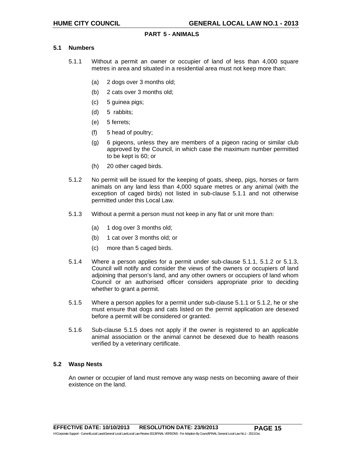#### **PART 5 - ANIMALS**

#### **5.1 Numbers**

- 5.1.1 Without a permit an owner or occupier of land of less than 4,000 square metres in area and situated in a residential area must not keep more than:
	- (a) 2 dogs over 3 months old;
	- (b) 2 cats over 3 months old;
	- (c) 5 guinea pigs;
	- (d) 5 rabbits;
	- (e) 5 ferrets;
	- (f) 5 head of poultry;
	- (g) 6 pigeons, unless they are members of a pigeon racing or similar club approved by the Council, in which case the maximum number permitted to be kept is 60; or
	- (h) 20 other caged birds.
- 5.1.2 No permit will be issued for the keeping of goats, sheep, pigs, horses or farm animals on any land less than 4,000 square metres or any animal (with the exception of caged birds) not listed in sub-clause 5.1.1 and not otherwise permitted under this Local Law.
- 5.1.3 Without a permit a person must not keep in any flat or unit more than:
	- (a) 1 dog over 3 months old;
	- (b) 1 cat over 3 months old; or
	- (c) more than 5 caged birds.
- 5.1.4 Where a person applies for a permit under sub-clause 5.1.1, 5.1.2 or 5.1.3, Council will notify and consider the views of the owners or occupiers of land adjoining that person's land, and any other owners or occupiers of land whom Council or an authorised officer considers appropriate prior to deciding whether to grant a permit.
- 5.1.5 Where a person applies for a permit under sub-clause 5.1.1 or 5.1.2, he or she must ensure that dogs and cats listed on the permit application are desexed before a permit will be considered or granted.
- 5.1.6 Sub-clause 5.1.5 does not apply if the owner is registered to an applicable animal association or the animal cannot be desexed due to health reasons verified by a veterinary certificate.

#### **5.2 Wasp Nests**

An owner or occupier of land must remove any wasp nests on becoming aware of their existence on the land.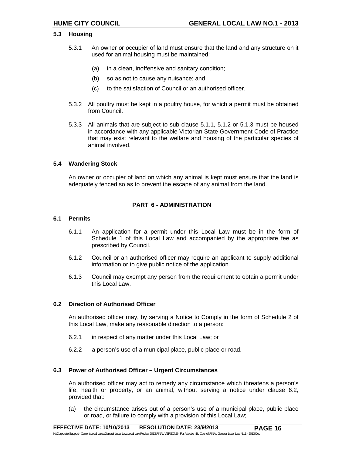#### **5.3 Housing**

- 5.3.1 An owner or occupier of land must ensure that the land and any structure on it used for animal housing must be maintained:
	- (a) in a clean, inoffensive and sanitary condition;
	- (b) so as not to cause any nuisance; and
	- (c) to the satisfaction of Council or an authorised officer.
- 5.3.2 All poultry must be kept in a poultry house, for which a permit must be obtained from Council.
- 5.3.3 All animals that are subject to sub-clause 5.1.1, 5.1.2 or 5.1.3 must be housed in accordance with any applicable Victorian State Government Code of Practice that may exist relevant to the welfare and housing of the particular species of animal involved.

#### **5.4 Wandering Stock**

An owner or occupier of land on which any animal is kept must ensure that the land is adequately fenced so as to prevent the escape of any animal from the land.

#### **PART 6 - ADMINISTRATION**

#### **6.1 Permits**

- 6.1.1 An application for a permit under this Local Law must be in the form of Schedule 1 of this Local Law and accompanied by the appropriate fee as prescribed by Council.
- 6.1.2 Council or an authorised officer may require an applicant to supply additional information or to give public notice of the application.
- 6.1.3 Council may exempt any person from the requirement to obtain a permit under this Local Law.

#### **6.2 Direction of Authorised Officer**

An authorised officer may, by serving a Notice to Comply in the form of Schedule 2 of this Local Law, make any reasonable direction to a person:

- 6.2.1 in respect of any matter under this Local Law; or
- 6.2.2 a person's use of a municipal place, public place or road.

#### **6.3 Power of Authorised Officer – Urgent Circumstances**

An authorised officer may act to remedy any circumstance which threatens a person's life, health or property, or an animal, without serving a notice under clause 6.2, provided that:

(a) the circumstance arises out of a person's use of a municipal place, public place or road, or failure to comply with a provision of this Local Law;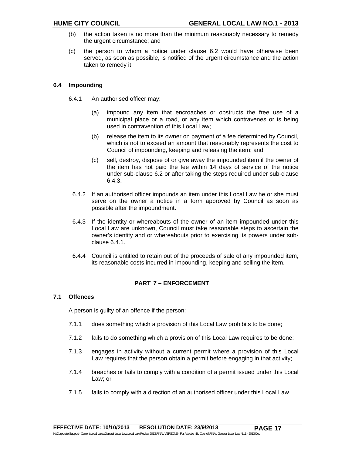- (b) the action taken is no more than the minimum reasonably necessary to remedy the urgent circumstance; and
- (c) the person to whom a notice under clause 6.2 would have otherwise been served, as soon as possible, is notified of the urgent circumstance and the action taken to remedy it.

## **6.4 Impounding**

- 6.4.1 An authorised officer may:
	- (a) impound any item that encroaches or obstructs the free use of a municipal place or a road, or any item which contravenes or is being used in contravention of this Local Law;
	- (b) release the item to its owner on payment of a fee determined by Council, which is not to exceed an amount that reasonably represents the cost to Council of impounding, keeping and releasing the item; and
	- (c) sell, destroy, dispose of or give away the impounded item if the owner of the item has not paid the fee within 14 days of service of the notice under sub-clause 6.2 or after taking the steps required under sub-clause 6.4.3.
	- 6.4.2 If an authorised officer impounds an item under this Local Law he or she must serve on the owner a notice in a form approved by Council as soon as possible after the impoundment.
	- 6.4.3 If the identity or whereabouts of the owner of an item impounded under this Local Law are unknown, Council must take reasonable steps to ascertain the owner's identity and or whereabouts prior to exercising its powers under subclause 6.4.1.
- 6.4.4 Council is entitled to retain out of the proceeds of sale of any impounded item, its reasonable costs incurred in impounding, keeping and selling the item.

#### **PART 7 – ENFORCEMENT**

#### **7.1 Offences**

A person is guilty of an offence if the person:

- 7.1.1 does something which a provision of this Local Law prohibits to be done;
- 7.1.2 fails to do something which a provision of this Local Law requires to be done;
- 7.1.3 engages in activity without a current permit where a provision of this Local Law requires that the person obtain a permit before engaging in that activity;
- 7.1.4 breaches or fails to comply with a condition of a permit issued under this Local Law; or
- 7.1.5 fails to comply with a direction of an authorised officer under this Local Law.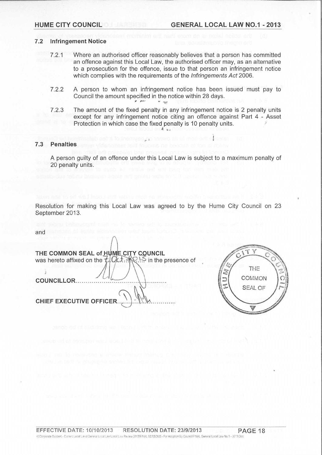#### **HUME CITY COUNCIL**

#### **Infringement Notice**  $7.2$

- $7.2.1$ Where an authorised officer reasonably believes that a person has committed an offence against this Local Law, the authorised officer may, as an alternative to a prosecution for the offence, issue to that person an infringement notice which complies with the requirements of the Infringements Act 2006.
- $7.2.2$ A person to whom an infringement notice has been issued must pay to Council the amount specified in the notice within 28 days.  $\mathbf{r}$  , point  $M = m_{\rm KH}$
- The amount of the fixed penalty in any infringement notice is 2 penalty units  $7.2.3$ except for any infringement notice citing an offence against Part 4 - Asset Protection in which case the fixed penalty is 10 penalty units.  $M_{\text{max}}$

He ilem to lis owner 60,09%

#### $7.3$ **Penalties**

A person guilty of an offence under this Local Law is subject to a maximum penalty of 20 penalty units.

Resolution for making this Local Law was agreed to by the Hume City Council on 23 September 2013.

| and                                                                                                                            |
|--------------------------------------------------------------------------------------------------------------------------------|
| THE COMMON SEAL of HUME CITY COUNCIL<br>was hereto affixed on the $7, Q \in \mathbb{R}$ , $\mathbb{R}$ , is in the presence of |
| <b>COUNCILLOR</b>                                                                                                              |
| <b>CHIEF EXECUTIVE OFFICER.</b>                                                                                                |

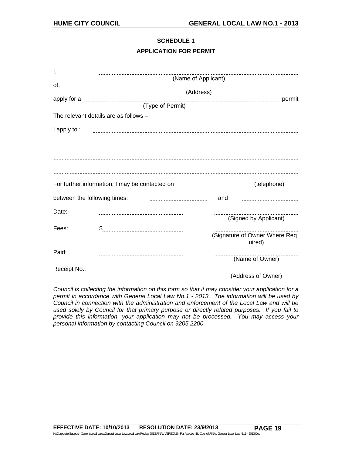# **SCHEDULE 1 APPLICATION FOR PERMIT**

| Ι,                           |                                       |                               |  |  |  |
|------------------------------|---------------------------------------|-------------------------------|--|--|--|
| of,                          | (Name of Applicant)                   |                               |  |  |  |
|                              | (Address)                             |                               |  |  |  |
|                              |                                       |                               |  |  |  |
|                              | (Type of Permit)                      |                               |  |  |  |
|                              | The relevant details are as follows - |                               |  |  |  |
| $I$ apply to :               |                                       |                               |  |  |  |
|                              |                                       |                               |  |  |  |
|                              |                                       |                               |  |  |  |
|                              |                                       |                               |  |  |  |
|                              |                                       |                               |  |  |  |
|                              |                                       |                               |  |  |  |
|                              |                                       |                               |  |  |  |
| between the following times: |                                       | and                           |  |  |  |
| Date:                        |                                       |                               |  |  |  |
|                              |                                       | (Signed by Applicant)         |  |  |  |
| Fees:                        |                                       |                               |  |  |  |
|                              |                                       | (Signature of Owner Where Req |  |  |  |
|                              |                                       | uired)                        |  |  |  |
| Paid:                        |                                       | (Name of Owner)               |  |  |  |
| Receipt No.:                 |                                       |                               |  |  |  |
|                              |                                       | (Address of Owner)            |  |  |  |

*Council is collecting the information on this form so that it may consider your application for a permit in accordance with General Local Law No.1 - 2013. The information will be used by Council in connection with the administration and enforcement of the Local Law and will be used solely by Council for that primary purpose or directly related purposes. If you fail to provide this information, your application may not be processed. You may access your personal information by contacting Council on 9205 2200.*